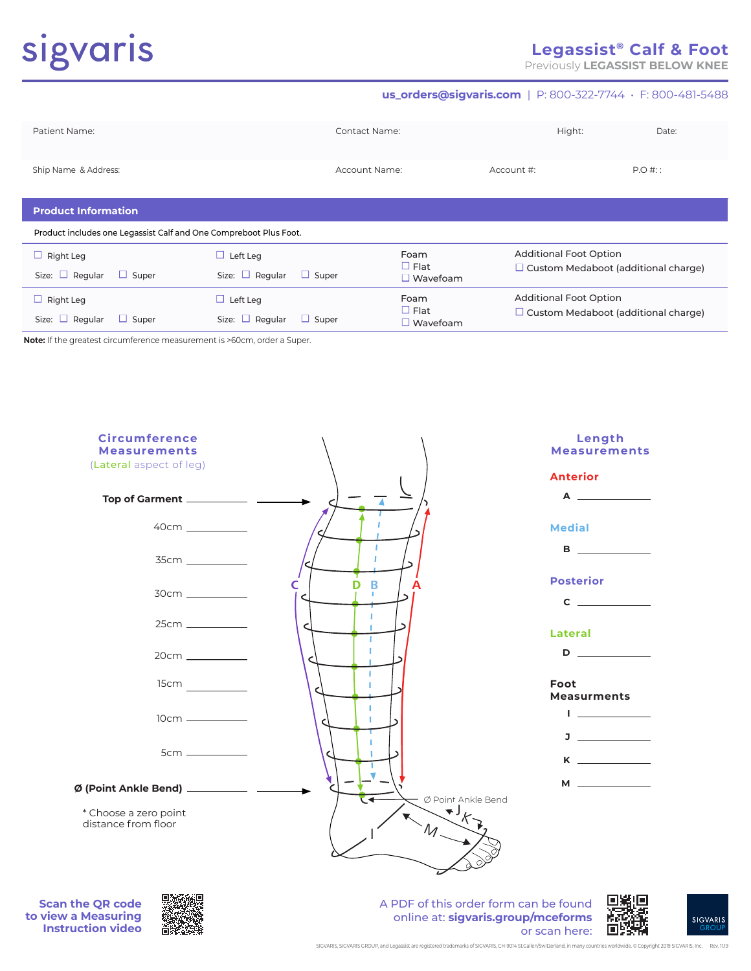# sigvaris

Size:  $\Box$  Regular  $\Box$  Super

# **Legassist® Calf & Foot**

Previously **LEGASSIST BELOW KNEE**

 $\Box$  Custom Medaboot (additional charge)

#### **us\_orders@sigvaris.com** | P: 800-322-7744 • F: 800-481-5488

| Patient Name:                                                     |                                      | Contact Name: |                                |                                                                             | Hight: | Date:     |
|-------------------------------------------------------------------|--------------------------------------|---------------|--------------------------------|-----------------------------------------------------------------------------|--------|-----------|
| Ship Name & Address:                                              |                                      | Account Name: |                                | Account #:                                                                  |        | $P.O$ #:: |
| <b>Product Information</b>                                        |                                      |               |                                |                                                                             |        |           |
| Product includes one Legassist Calf and One Compreboot Plus Foot. |                                      |               |                                |                                                                             |        |           |
| $\Box$ Right Leg                                                  | $\Box$ Left Leg                      |               | Foam                           | <b>Additional Foot Option</b><br>$\Box$ Custom Medaboot (additional charge) |        |           |
| Size: $\Box$ Regular<br>$\Box$ Super                              | Size: $\Box$ Regular<br>$\Box$ Super |               | $\Box$ Flat<br>$\Box$ Wavefoam |                                                                             |        |           |
| $\Box$ Right Leg                                                  | $\Box$ Left Leg                      |               | Foam                           | <b>Additional Foot Option</b>                                               |        |           |
|                                                                   |                                      |               | $\Box$ Flat                    | $\Box$ Custom Medaboot (additional charge)                                  |        |           |

 $\square$  Wavefoam

**Note:** If the greatest circumference measurement is >60cm, order a Super.

Size: □ Regular □ Super



**Scan the QR code to view a Measuring Instruction video**



A PDF of this order form can be found online at: **sigvaris.group/mceforms** or scan here: